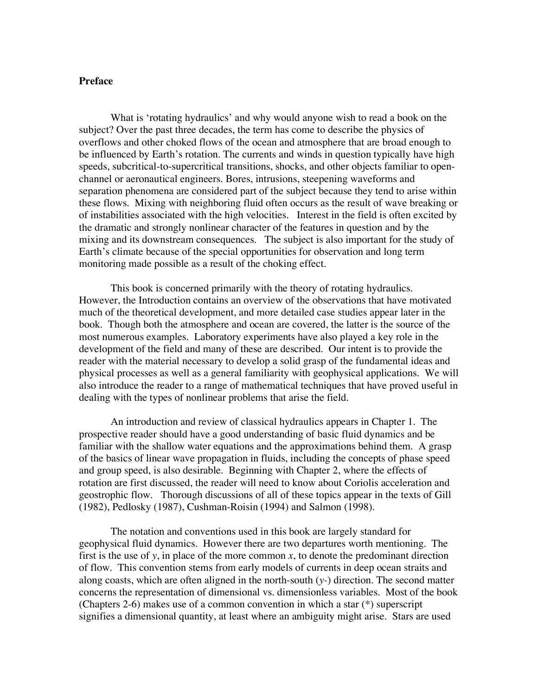## **Preface**

What is 'rotating hydraulics' and why would anyone wish to read a book on the subject? Over the past three decades, the term has come to describe the physics of overflows and other choked flows of the ocean and atmosphere that are broad enough to be influenced by Earth's rotation. The currents and winds in question typically have high speeds, subcritical-to-supercritical transitions, shocks, and other objects familiar to openchannel or aeronautical engineers. Bores, intrusions, steepening waveforms and separation phenomena are considered part of the subject because they tend to arise within these flows. Mixing with neighboring fluid often occurs as the result of wave breaking or of instabilities associated with the high velocities. Interest in the field is often excited by the dramatic and strongly nonlinear character of the features in question and by the mixing and its downstream consequences. The subject is also important for the study of Earth's climate because of the special opportunities for observation and long term monitoring made possible as a result of the choking effect.

This book is concerned primarily with the theory of rotating hydraulics. However, the Introduction contains an overview of the observations that have motivated much of the theoretical development, and more detailed case studies appear later in the book. Though both the atmosphere and ocean are covered, the latter is the source of the most numerous examples. Laboratory experiments have also played a key role in the development of the field and many of these are described. Our intent is to provide the reader with the material necessary to develop a solid grasp of the fundamental ideas and physical processes as well as a general familiarity with geophysical applications. We will also introduce the reader to a range of mathematical techniques that have proved useful in dealing with the types of nonlinear problems that arise the field.

An introduction and review of classical hydraulics appears in Chapter 1. The prospective reader should have a good understanding of basic fluid dynamics and be familiar with the shallow water equations and the approximations behind them. A grasp of the basics of linear wave propagation in fluids, including the concepts of phase speed and group speed, is also desirable. Beginning with Chapter 2, where the effects of rotation are first discussed, the reader will need to know about Coriolis acceleration and geostrophic flow. Thorough discussions of all of these topics appear in the texts of Gill (1982), Pedlosky (1987), Cushman-Roisin (1994) and Salmon (1998).

The notation and conventions used in this book are largely standard for geophysical fluid dynamics. However there are two departures worth mentioning. The first is the use of  $y$ , in place of the more common  $x$ , to denote the predominant direction of flow. This convention stems from early models of currents in deep ocean straits and along coasts, which are often aligned in the north-south (*y-*) direction. The second matter concerns the representation of dimensional vs. dimensionless variables. Most of the book (Chapters 2-6) makes use of a common convention in which a star (\*) superscript signifies a dimensional quantity, at least where an ambiguity might arise. Stars are used